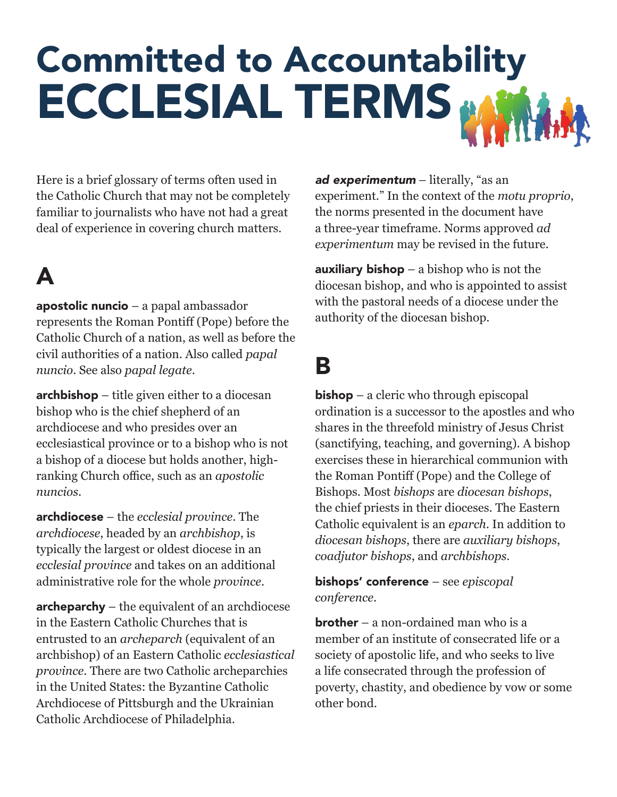# Committed to Accountability ECCLESIAL TERMS<sup>&</sup>

Here is a brief glossary of terms often used in the Catholic Church that may not be completely familiar to journalists who have not had a great deal of experience in covering church matters.

### A

apostolic nuncio – a papal ambassador represents the Roman Pontiff (Pope) before the Catholic Church of a nation, as well as before the civil authorities of a nation. Also called *papal nuncio*. See also *papal legate*.

archbishop – title given either to a diocesan bishop who is the chief shepherd of an archdiocese and who presides over an ecclesiastical province or to a bishop who is not a bishop of a diocese but holds another, highranking Church office, such as an *apostolic nuncios*.

archdiocese – the *ecclesial province*. The *archdiocese*, headed by an *archbishop*, is typically the largest or oldest diocese in an *ecclesial province* and takes on an additional administrative role for the whole *province*.

archeparchy – the equivalent of an archdiocese in the Eastern Catholic Churches that is entrusted to an *archeparch* (equivalent of an archbishop) of an Eastern Catholic *ecclesiastical province*. There are two Catholic archeparchies in the United States: the Byzantine Catholic Archdiocese of Pittsburgh and the Ukrainian Catholic Archdiocese of Philadelphia.

*ad experimentum* – literally, "as an experiment." In the context of the *motu proprio*, the norms presented in the document have a three-year timeframe. Norms approved *ad experimentum* may be revised in the future.

**auxiliary bishop** – a bishop who is not the diocesan bishop, and who is appointed to assist with the pastoral needs of a diocese under the authority of the diocesan bishop.

#### B

**bishop** – a cleric who through episcopal ordination is a successor to the apostles and who shares in the threefold ministry of Jesus Christ (sanctifying, teaching, and governing). A bishop exercises these in hierarchical communion with the Roman Pontiff (Pope) and the College of Bishops. Most *bishops* are *diocesan bishops*, the chief priests in their dioceses. The Eastern Catholic equivalent is an *eparch*. In addition to *diocesan bishops*, there are *auxiliary bishops*, *coadjutor bishops*, and *archbishops*.

bishops' conference – see *episcopal conference*.

**brother** – a non-ordained man who is a member of an institute of consecrated life or a society of apostolic life, and who seeks to live a life consecrated through the profession of poverty, chastity, and obedience by vow or some other bond.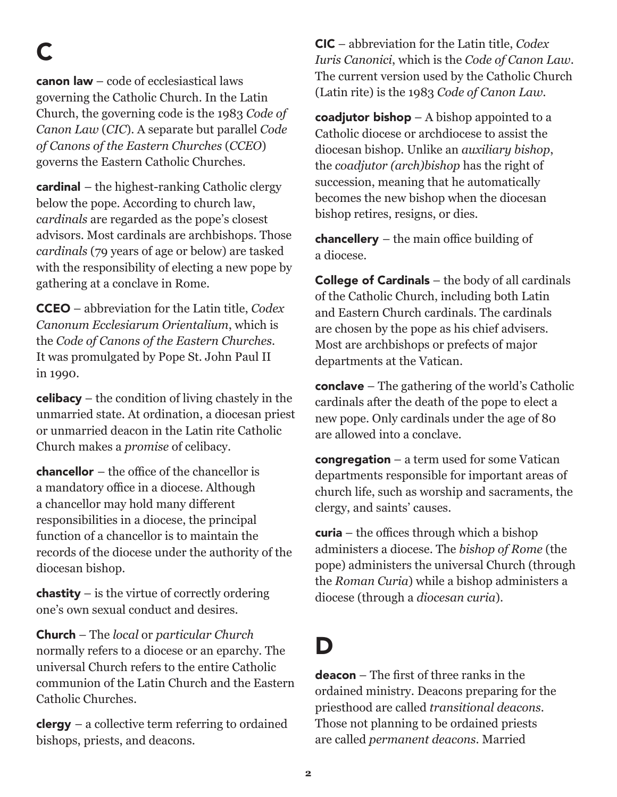C

 $c$ anon law – code of ecclesiastical laws governing the Catholic Church. In the Latin Church, the governing code is the 1983 *Code of Canon Law* (*CIC*). A separate but parallel *Code of Canons of the Eastern Churches* (*CCEO*) governs the Eastern Catholic Churches.

**cardinal** – the highest-ranking Catholic clergy below the pope. According to church law, *cardinals* are regarded as the pope's closest advisors. Most cardinals are archbishops. Those *cardinals* (79 years of age or below) are tasked with the responsibility of electing a new pope by gathering at a conclave in Rome.

CCEO – abbreviation for the Latin title, *Codex Canonum Ecclesiarum Orientalium*, which is the *Code of Canons of the Eastern Churches*. It was promulgated by Pope St. John Paul II in 1990.

 $\mathsf{celibacy}$  – the condition of living chastely in the unmarried state. At ordination, a diocesan priest or unmarried deacon in the Latin rite Catholic Church makes a *promise* of celibacy.

chancellor – the office of the chancellor is a mandatory office in a diocese. Although a chancellor may hold many different responsibilities in a diocese, the principal function of a chancellor is to maintain the records of the diocese under the authority of the diocesan bishop.

**chastity** – is the virtue of correctly ordering one's own sexual conduct and desires.

Church – The *local* or *particular Church* normally refers to a diocese or an eparchy. The universal Church refers to the entire Catholic communion of the Latin Church and the Eastern Catholic Churches.

 $clergy - a collective term referring to ordained$ bishops, priests, and deacons.

CIC – abbreviation for the Latin title, *Codex Iuris Canonici*, which is the *Code of Canon Law*. The current version used by the Catholic Church (Latin rite) is the 1983 *Code of Canon Law.*

coadjutor bishop  $-A$  bishop appointed to a Catholic diocese or archdiocese to assist the diocesan bishop. Unlike an *auxiliary bishop*, the *coadjutor (arch)bishop* has the right of succession, meaning that he automatically becomes the new bishop when the diocesan bishop retires, resigns, or dies.

**chancellery** – the main office building of a diocese.

**College of Cardinals** – the body of all cardinals of the Catholic Church, including both Latin and Eastern Church cardinals. The cardinals are chosen by the pope as his chief advisers. Most are archbishops or prefects of major departments at the Vatican.

**conclave** – The gathering of the world's Catholic cardinals after the death of the pope to elect a new pope. Only cardinals under the age of 80 are allowed into a conclave.

**congregation** – a term used for some Vatican departments responsible for important areas of church life, such as worship and sacraments, the clergy, and saints' causes.

**curia** – the offices through which a bishop administers a diocese. The *bishop of Rome* (the pope) administers the universal Church (through the *Roman Curia*) while a bishop administers a diocese (through a *diocesan curia*).

#### D

deacon – The first of three ranks in the ordained ministry. Deacons preparing for the priesthood are called *transitional deacons*. Those not planning to be ordained priests are called *permanent deacons*. Married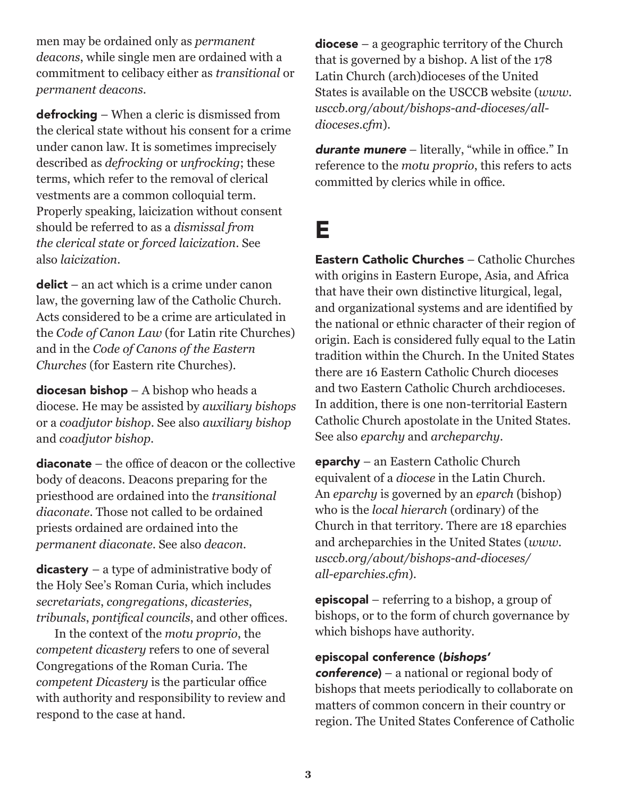men may be ordained only as *permanent deacons*, while single men are ordained with a commitment to celibacy either as *transitional* or *permanent deacons*.

defrocking – When a cleric is dismissed from the clerical state without his consent for a crime under canon law. It is sometimes imprecisely described as *defrocking* or *unfrocking*; these terms, which refer to the removal of clerical vestments are a common colloquial term. Properly speaking, laicization without consent should be referred to as a *dismissal from the clerical state* or *forced laicization*. See also *laicization*.

 $delict - an act which is a crime under canon$ law, the governing law of the Catholic Church. Acts considered to be a crime are articulated in the *Code of Canon Law* (for Latin rite Churches) and in the *Code of Canons of the Eastern Churches* (for Eastern rite Churches).

diocesan bishop - A bishop who heads a diocese. He may be assisted by *auxiliary bishops* or a *coadjutor bishop*. See also *auxiliary bishop* and *coadjutor bishop*.

diaconate – the office of deacon or the collective body of deacons. Deacons preparing for the priesthood are ordained into the *transitional diaconate*. Those not called to be ordained priests ordained are ordained into the *permanent diaconate*. See also *deacon*.

 $dicastery - a type of administrative body of$ the Holy See's Roman Curia, which includes *secretariats*, *congregations*, *dicasteries*, *tribunals*, *pontifical councils*, and other offices.

In the context of the *motu proprio*, the *competent dicastery* refers to one of several Congregations of the Roman Curia. The *competent Dicastery* is the particular office with authority and responsibility to review and respond to the case at hand.

diocese – a geographic territory of the Church that is governed by a bishop. A list of the 178 Latin Church (arch)dioceses of the United States is available on the USCCB website (*www. usccb.org/about/bishops-and-dioceses/alldioceses.cfm*).

*durante munere* – literally, "while in office." In reference to the *motu proprio*, this refers to acts committed by clerics while in office.

#### E

Eastern Catholic Churches – Catholic Churches with origins in Eastern Europe, Asia, and Africa that have their own distinctive liturgical, legal, and organizational systems and are identified by the national or ethnic character of their region of origin. Each is considered fully equal to the Latin tradition within the Church. In the United States there are 16 Eastern Catholic Church dioceses and two Eastern Catholic Church archdioceses. In addition, there is one non-territorial Eastern Catholic Church apostolate in the United States. See also *eparchy* and *archeparchy*.

eparchy – an Eastern Catholic Church equivalent of a *diocese* in the Latin Church. An *eparchy* is governed by an *eparch* (bishop) who is the *local hierarch* (ordinary) of the Church in that territory. There are 18 eparchies and archeparchies in the United States (*www. usccb.org/about/bishops-and-dioceses/ all-eparchies.cfm*).

episcopal – referring to a bishop, a group of bishops, or to the form of church governance by which bishops have authority.

#### episcopal conference (*bishops'*

*conference*) – a national or regional body of bishops that meets periodically to collaborate on matters of common concern in their country or region. The United States Conference of Catholic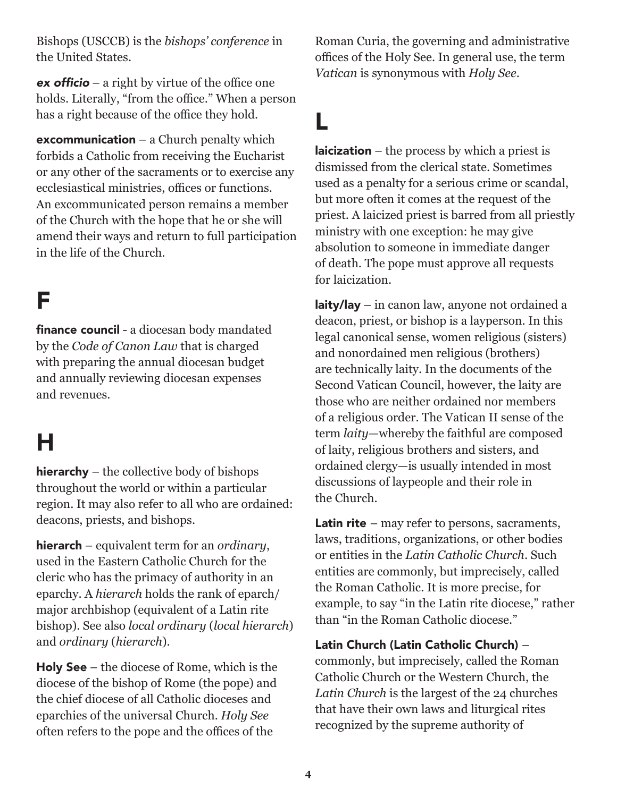Bishops (USCCB) is the *bishops' conference* in the United States.

**ex officio** – a right by virtue of the office one holds. Literally, "from the office." When a person has a right because of the office they hold.

**excommunication** – a Church penalty which forbids a Catholic from receiving the Eucharist or any other of the sacraments or to exercise any ecclesiastical ministries, offices or functions. An excommunicated person remains a member of the Church with the hope that he or she will amend their ways and return to full participation in the life of the Church.

#### F

finance council - a diocesan body mandated by the *Code of Canon Law* that is charged with preparing the annual diocesan budget and annually reviewing diocesan expenses and revenues.

### H

hierarchy – the collective body of bishops throughout the world or within a particular region. It may also refer to all who are ordained: deacons, priests, and bishops.

hierarch – equivalent term for an *ordinary*, used in the Eastern Catholic Church for the cleric who has the primacy of authority in an eparchy. A *hierarch* holds the rank of eparch/ major archbishop (equivalent of a Latin rite bishop). See also *local ordinary* (*local hierarch*) and *ordinary* (*hierarch*).

Holy See – the diocese of Rome, which is the diocese of the bishop of Rome (the pope) and the chief diocese of all Catholic dioceses and eparchies of the universal Church. *Holy See* often refers to the pope and the offices of the

Roman Curia, the governing and administrative offices of the Holy See. In general use, the term *Vatican* is synonymous with *Holy See*.

#### L

**laicization** – the process by which a priest is dismissed from the clerical state. Sometimes used as a penalty for a serious crime or scandal, but more often it comes at the request of the priest. A laicized priest is barred from all priestly ministry with one exception: he may give absolution to someone in immediate danger of death. The pope must approve all requests for laicization.

laity/lay – in canon law, anyone not ordained a deacon, priest, or bishop is a layperson. In this legal canonical sense, women religious (sisters) and nonordained men religious (brothers) are technically laity. In the documents of the Second Vatican Council, however, the laity are those who are neither ordained nor members of a religious order. The Vatican II sense of the term *laity*—whereby the faithful are composed of laity, religious brothers and sisters, and ordained clergy—is usually intended in most discussions of laypeople and their role in the Church.

**Latin rite** – may refer to persons, sacraments, laws, traditions, organizations, or other bodies or entities in the *Latin Catholic Church*. Such entities are commonly, but imprecisely, called the Roman Catholic. It is more precise, for example, to say "in the Latin rite diocese," rather than "in the Roman Catholic diocese."

Latin Church (Latin Catholic Church) – commonly, but imprecisely, called the Roman Catholic Church or the Western Church, the *Latin Church* is the largest of the 24 churches that have their own laws and liturgical rites recognized by the supreme authority of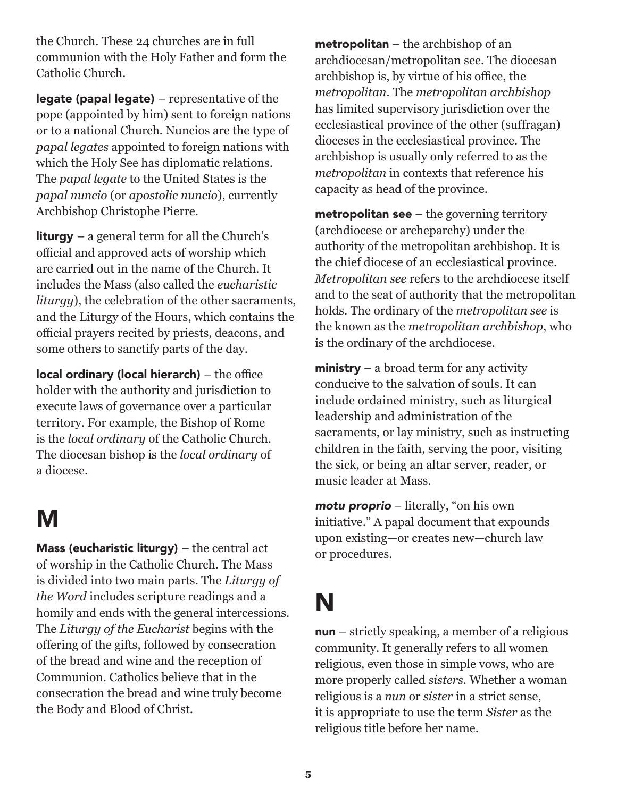the Church. These 24 churches are in full communion with the Holy Father and form the Catholic Church.

legate (papal legate) – representative of the pope (appointed by him) sent to foreign nations or to a national Church. Nuncios are the type of *papal legates* appointed to foreign nations with which the Holy See has diplomatic relations. The *papal legate* to the United States is the *papal nuncio* (or *apostolic nuncio*), currently Archbishop Christophe Pierre.

**liturgy** – a general term for all the Church's official and approved acts of worship which are carried out in the name of the Church. It includes the Mass (also called the *eucharistic liturgy*), the celebration of the other sacraments, and the Liturgy of the Hours, which contains the official prayers recited by priests, deacons, and some others to sanctify parts of the day.

local ordinary (local hierarch) – the office holder with the authority and jurisdiction to execute laws of governance over a particular territory. For example, the Bishop of Rome is the *local ordinary* of the Catholic Church. The diocesan bishop is the *local ordinary* of a diocese.

#### M

Mass (eucharistic liturgy) – the central act of worship in the Catholic Church. The Mass is divided into two main parts. The *Liturgy of the Word* includes scripture readings and a homily and ends with the general intercessions. The *Liturgy of the Eucharist* begins with the offering of the gifts, followed by consecration of the bread and wine and the reception of Communion. Catholics believe that in the consecration the bread and wine truly become the Body and Blood of Christ.

metropolitan – the archbishop of an archdiocesan/metropolitan see. The diocesan archbishop is, by virtue of his office, the *metropolitan*. The *metropolitan archbishop* has limited supervisory jurisdiction over the ecclesiastical province of the other (suffragan) dioceses in the ecclesiastical province. The archbishop is usually only referred to as the *metropolitan* in contexts that reference his capacity as head of the province.

**metropolitan see**  $-$  the governing territory (archdiocese or archeparchy) under the authority of the metropolitan archbishop. It is the chief diocese of an ecclesiastical province. *Metropolitan see* refers to the archdiocese itself and to the seat of authority that the metropolitan holds. The ordinary of the *metropolitan see* is the known as the *metropolitan archbishop*, who is the ordinary of the archdiocese.

**ministry** – a broad term for any activity conducive to the salvation of souls. It can include ordained ministry, such as liturgical leadership and administration of the sacraments, or lay ministry, such as instructing children in the faith, serving the poor, visiting the sick, or being an altar server, reader, or music leader at Mass.

*motu proprio* – literally, "on his own initiative." A papal document that expounds upon existing—or creates new—church law or procedures.

# N

nun – strictly speaking, a member of a religious community. It generally refers to all women religious, even those in simple vows, who are more properly called *sisters*. Whether a woman religious is a *nun* or *sister* in a strict sense, it is appropriate to use the term *Sister* as the religious title before her name.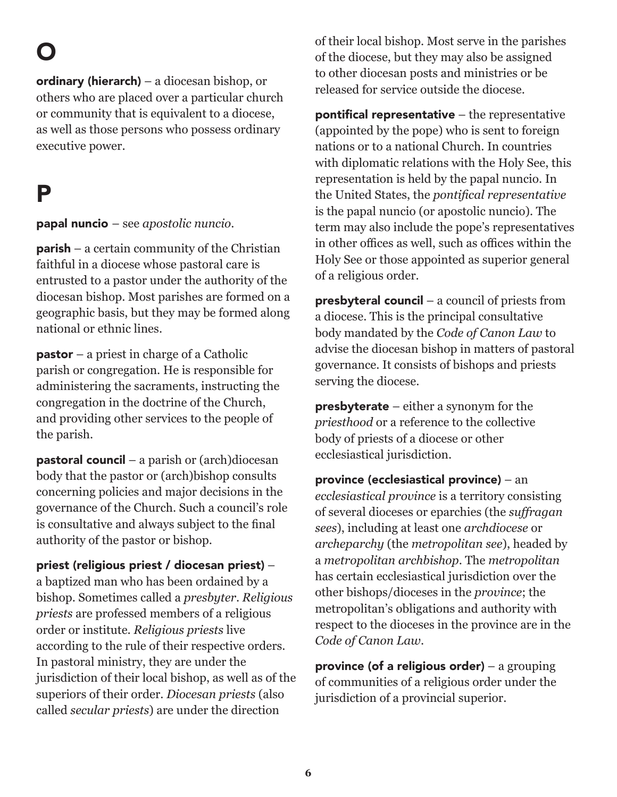O

ordinary (hierarch) – a diocesan bishop, or others who are placed over a particular church or community that is equivalent to a diocese, as well as those persons who possess ordinary executive power.

#### P

papal nuncio – see *apostolic nuncio*.

**parish** – a certain community of the Christian faithful in a diocese whose pastoral care is entrusted to a pastor under the authority of the diocesan bishop. Most parishes are formed on a geographic basis, but they may be formed along national or ethnic lines.

pastor – a priest in charge of a Catholic parish or congregation. He is responsible for administering the sacraments, instructing the congregation in the doctrine of the Church, and providing other services to the people of the parish.

**pastoral council** – a parish or  $(\text{arch})$ diocesan body that the pastor or (arch)bishop consults concerning policies and major decisions in the governance of the Church. Such a council's role is consultative and always subject to the final authority of the pastor or bishop.

#### priest (religious priest / diocesan priest) –

a baptized man who has been ordained by a bishop. Sometimes called a *presbyter*. *Religious priests* are professed members of a religious order or institute. *Religious priests* live according to the rule of their respective orders. In pastoral ministry, they are under the jurisdiction of their local bishop, as well as of the superiors of their order. *Diocesan priests* (also called *secular priests*) are under the direction

of their local bishop. Most serve in the parishes of the diocese, but they may also be assigned to other diocesan posts and ministries or be released for service outside the diocese.

pontifical representative  $-$  the representative (appointed by the pope) who is sent to foreign nations or to a national Church. In countries with diplomatic relations with the Holy See, this representation is held by the papal nuncio. In the United States, the *pontifical representative* is the papal nuncio (or apostolic nuncio). The term may also include the pope's representatives in other offices as well, such as offices within the Holy See or those appointed as superior general of a religious order.

presbyteral council – a council of priests from a diocese. This is the principal consultative body mandated by the *Code of Canon Law* to advise the diocesan bishop in matters of pastoral governance. It consists of bishops and priests serving the diocese.

**presbyterate** – either a synonym for the *priesthood* or a reference to the collective body of priests of a diocese or other ecclesiastical jurisdiction.

province (ecclesiastical province) – an *ecclesiastical province* is a territory consisting of several dioceses or eparchies (the *suffragan sees*), including at least one *archdiocese* or *archeparchy* (the *metropolitan see*), headed by a *metropolitan archbishop*. The *metropolitan* has certain ecclesiastical jurisdiction over the other bishops/dioceses in the *province*; the metropolitan's obligations and authority with respect to the dioceses in the province are in the *Code of Canon Law*.

province (of a religious order) – a grouping of communities of a religious order under the jurisdiction of a provincial superior.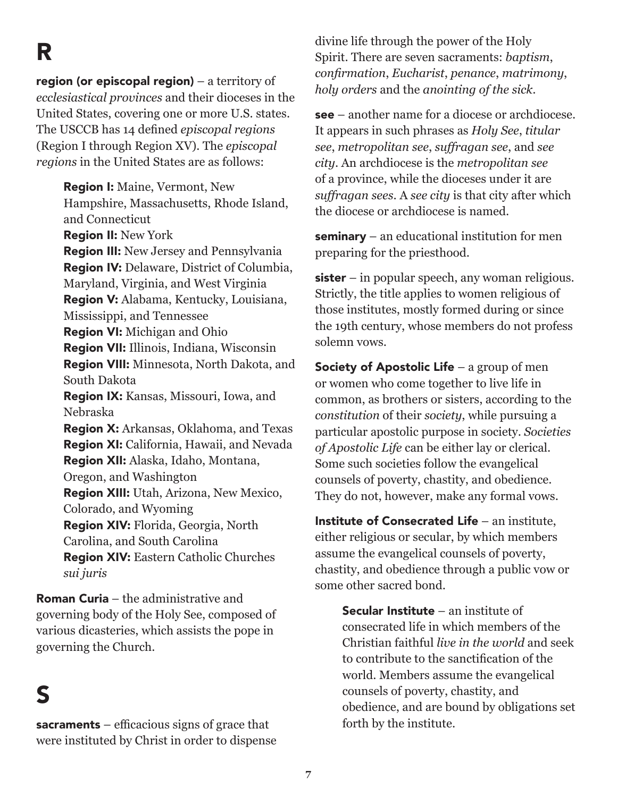R

region (or episcopal region) – a territory of *ecclesiastical provinces* and their dioceses in the United States, covering one or more U.S. states. The USCCB has 14 defined *episcopal regions* (Region I through Region XV). The *episcopal regions* in the United States are as follows:

Region I: Maine, Vermont, New Hampshire, Massachusetts, Rhode Island, and Connecticut Region II: New York Region III: New Jersey and Pennsylvania Region IV: Delaware, District of Columbia, Maryland, Virginia, and West Virginia Region V: Alabama, Kentucky, Louisiana, Mississippi, and Tennessee Region VI: Michigan and Ohio Region VII: Illinois, Indiana, Wisconsin Region VIII: Minnesota, North Dakota, and South Dakota Region IX: Kansas, Missouri, Iowa, and Nebraska Region X: Arkansas, Oklahoma, and Texas Region XI: California, Hawaii, and Nevada Region XII: Alaska, Idaho, Montana, Oregon, and Washington Region XIII: Utah, Arizona, New Mexico, Colorado, and Wyoming Region XIV: Florida, Georgia, North Carolina, and South Carolina Region XIV: Eastern Catholic Churches *sui juris*

Roman Curia – the administrative and governing body of the Holy See, composed of various dicasteries, which assists the pope in governing the Church.

#### S

sacraments  $-$  efficacious signs of grace that were instituted by Christ in order to dispense divine life through the power of the Holy Spirit. There are seven sacraments: *baptism*, *confirmation*, *Eucharist*, *penance*, *matrimony*, *holy orders* and the *anointing of the sick*.

see – another name for a diocese or archdiocese. It appears in such phrases as *Holy See*, *titular see*, *metropolitan see*, *suffragan see*, and *see city*. An archdiocese is the *metropolitan see* of a province, while the dioceses under it are *suffragan sees*. A *see city* is that city after which the diocese or archdiocese is named.

seminary – an educational institution for men preparing for the priesthood.

 $sister - in popular speech, any woman religious.$ Strictly, the title applies to women religious of those institutes, mostly formed during or since the 19th century, whose members do not profess solemn vows.

Society of Apostolic Life – a group of men or women who come together to live life in common, as brothers or sisters, according to the *constitution* of their *society*, while pursuing a particular apostolic purpose in society. *Societies of Apostolic Life* can be either lay or clerical. Some such societies follow the evangelical counsels of poverty, chastity, and obedience. They do not, however, make any formal vows.

Institute of Consecrated Life – an institute, either religious or secular, by which members assume the evangelical counsels of poverty, chastity, and obedience through a public vow or some other sacred bond.

> **Secular Institute – an institute of** consecrated life in which members of the Christian faithful *live in the world* and seek to contribute to the sanctification of the world. Members assume the evangelical counsels of poverty, chastity, and obedience, and are bound by obligations set forth by the institute.